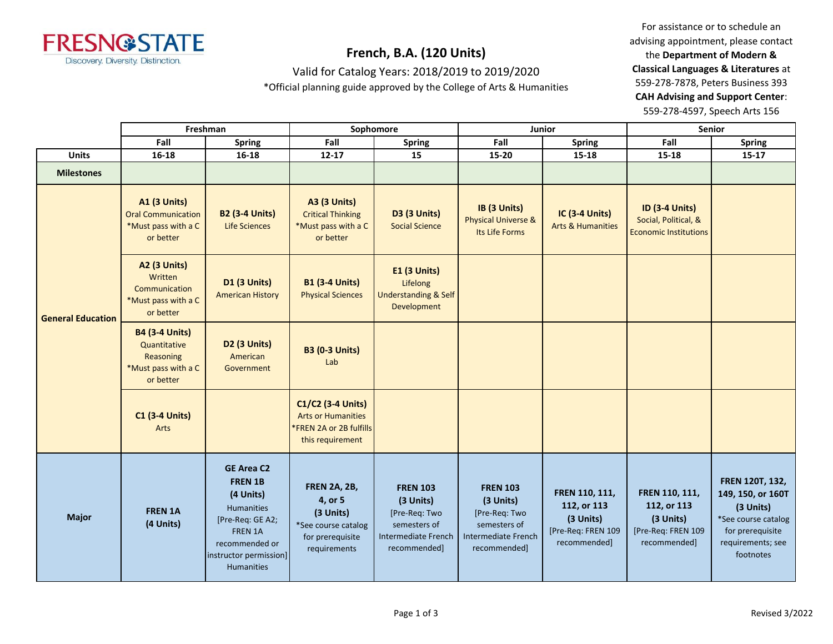

### Valid for Catalog Years: 2018/2019 to 2019/2020

\*Official planning guide approved by the College of Arts & Humanities

For assistance or to schedule an advising appointment, please contact the **Department of Modern & Classical Languages & Literatures** at 559-278-7878, Peters Business 393 **CAH Advising and Support Center**: 559-278-4597, Speech Arts 156

|                          |                                                                                        | Freshman                                                                                                                                                       |                                                                                                        | Sophomore                                                                                            | Junior                                                                                               |                                                                                  | Senior                                                                           |                                                                                                                                |
|--------------------------|----------------------------------------------------------------------------------------|----------------------------------------------------------------------------------------------------------------------------------------------------------------|--------------------------------------------------------------------------------------------------------|------------------------------------------------------------------------------------------------------|------------------------------------------------------------------------------------------------------|----------------------------------------------------------------------------------|----------------------------------------------------------------------------------|--------------------------------------------------------------------------------------------------------------------------------|
|                          | Fall                                                                                   | Fall<br>Fall<br>Spring<br><b>Spring</b><br>Spring                                                                                                              |                                                                                                        |                                                                                                      | Fall                                                                                                 | <b>Spring</b>                                                                    |                                                                                  |                                                                                                                                |
| <b>Units</b>             | 16-18                                                                                  | $16 - 18$                                                                                                                                                      | $12 - 17$                                                                                              | 15                                                                                                   | 15-20                                                                                                | 15-18                                                                            | 15-18                                                                            | $15 - 17$                                                                                                                      |
| <b>Milestones</b>        |                                                                                        |                                                                                                                                                                |                                                                                                        |                                                                                                      |                                                                                                      |                                                                                  |                                                                                  |                                                                                                                                |
| <b>General Education</b> | <b>A1 (3 Units)</b><br><b>Oral Communication</b><br>*Must pass with a C<br>or better   | <b>B2 (3-4 Units)</b><br>Life Sciences                                                                                                                         | <b>A3 (3 Units)</b><br><b>Critical Thinking</b><br>*Must pass with a C<br>or better                    | D3 (3 Units)<br><b>Social Science</b>                                                                | IB (3 Units)<br><b>Physical Universe &amp;</b><br>Its Life Forms                                     | <b>IC (3-4 Units)</b><br><b>Arts &amp; Humanities</b>                            | <b>ID (3-4 Units)</b><br>Social, Political, &<br><b>Economic Institutions</b>    |                                                                                                                                |
|                          | A2 (3 Units)<br>Written<br>Communication<br>*Must pass with a C<br>or better           | <b>D1 (3 Units)</b><br><b>American History</b>                                                                                                                 | <b>B1 (3-4 Units)</b><br><b>Physical Sciences</b>                                                      | E1 (3 Units)<br>Lifelong<br><b>Understanding &amp; Self</b><br>Development                           |                                                                                                      |                                                                                  |                                                                                  |                                                                                                                                |
|                          | <b>B4 (3-4 Units)</b><br>Quantitative<br>Reasoning<br>*Must pass with a C<br>or better | D2 (3 Units)<br>American<br>Government                                                                                                                         | <b>B3 (0-3 Units)</b><br>Lab                                                                           |                                                                                                      |                                                                                                      |                                                                                  |                                                                                  |                                                                                                                                |
|                          | <b>C1 (3-4 Units)</b><br>Arts                                                          |                                                                                                                                                                | C1/C2 (3-4 Units)<br><b>Arts or Humanities</b><br><b>*FREN 2A or 2B fulfills</b><br>this requirement   |                                                                                                      |                                                                                                      |                                                                                  |                                                                                  |                                                                                                                                |
| <b>Major</b>             | <b>FREN 1A</b><br>(4 Units)                                                            | <b>GE Area C2</b><br><b>FREN 1B</b><br>(4 Units)<br>Humanities<br>[Pre-Req: GE A2;<br>FREN 1A<br>recommended or<br>instructor permission]<br><b>Humanities</b> | <b>FREN 2A, 2B,</b><br>4, or 5<br>(3 Units)<br>*See course catalog<br>for prerequisite<br>requirements | <b>FREN 103</b><br>(3 Units)<br>[Pre-Req: Two<br>semesters of<br>Intermediate French<br>recommended] | <b>FREN 103</b><br>(3 Units)<br>[Pre-Req: Two<br>semesters of<br>Intermediate French<br>recommended] | FREN 110, 111,<br>112, or 113<br>(3 Units)<br>[Pre-Req: FREN 109<br>recommended] | FREN 110, 111,<br>112, or 113<br>(3 Units)<br>[Pre-Req: FREN 109<br>recommended] | FREN 120T, 132,<br>149, 150, or 160T<br>(3 Units)<br>*See course catalog<br>for prerequisite<br>requirements; see<br>footnotes |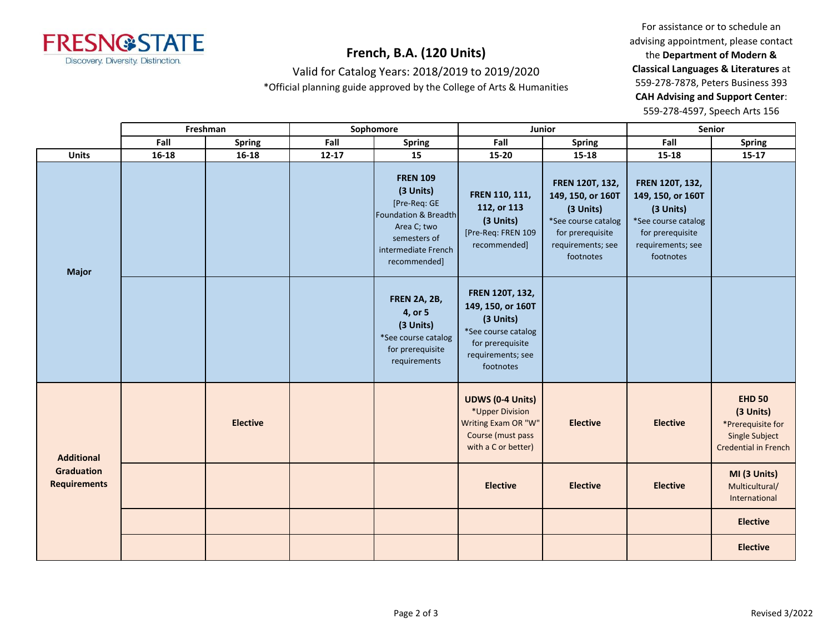

Valid for Catalog Years: 2018/2019 to 2019/2020

\*Official planning guide approved by the College of Arts & Humanities

For assistance or to schedule an advising appointment, please contact the **Department of Modern & Classical Languages & Literatures** at 559-278-7878, Peters Business 393 **CAH Advising and Support Center**: 559-278-4597, Speech Arts 156

|                                                               |           | Freshman        |           | Sophomore                                                                                                                                  | Junior                                                                                                                         |                                                                                                                                | Senior                                                                                                                         |                                                                                                         |
|---------------------------------------------------------------|-----------|-----------------|-----------|--------------------------------------------------------------------------------------------------------------------------------------------|--------------------------------------------------------------------------------------------------------------------------------|--------------------------------------------------------------------------------------------------------------------------------|--------------------------------------------------------------------------------------------------------------------------------|---------------------------------------------------------------------------------------------------------|
|                                                               | Fall      | <b>Spring</b>   | Fall      | <b>Spring</b>                                                                                                                              | Fall                                                                                                                           | <b>Spring</b>                                                                                                                  | Fall                                                                                                                           | <b>Spring</b>                                                                                           |
| <b>Units</b>                                                  | $16 - 18$ | $16 - 18$       | $12 - 17$ | 15                                                                                                                                         | 15-20                                                                                                                          | $15 - 18$                                                                                                                      | $15 - 18$                                                                                                                      | $15-17$                                                                                                 |
| <b>Major</b>                                                  |           |                 |           | <b>FREN 109</b><br>(3 Units)<br>[Pre-Req: GE<br>Foundation & Breadth<br>Area C; two<br>semesters of<br>intermediate French<br>recommended] | FREN 110, 111,<br>112, or 113<br>(3 Units)<br>[Pre-Req: FREN 109<br>recommended]                                               | FREN 120T, 132,<br>149, 150, or 160T<br>(3 Units)<br>*See course catalog<br>for prerequisite<br>requirements; see<br>footnotes | FREN 120T, 132,<br>149, 150, or 160T<br>(3 Units)<br>*See course catalog<br>for prerequisite<br>requirements; see<br>footnotes |                                                                                                         |
|                                                               |           |                 |           | <b>FREN 2A, 2B,</b><br>4, or 5<br>(3 Units)<br>*See course catalog<br>for prerequisite<br>requirements                                     | FREN 120T, 132,<br>149, 150, or 160T<br>(3 Units)<br>*See course catalog<br>for prerequisite<br>requirements; see<br>footnotes |                                                                                                                                |                                                                                                                                |                                                                                                         |
| <b>Additional</b><br><b>Graduation</b><br><b>Requirements</b> |           | <b>Elective</b> |           |                                                                                                                                            | <b>UDWS (0-4 Units)</b><br>*Upper Division<br>Writing Exam OR "W"<br>Course (must pass<br>with a C or better)                  | <b>Elective</b>                                                                                                                | <b>Elective</b>                                                                                                                | <b>EHD 50</b><br>(3 Units)<br>*Prerequisite for<br><b>Single Subject</b><br><b>Credential in French</b> |
|                                                               |           |                 |           |                                                                                                                                            | <b>Elective</b>                                                                                                                | <b>Elective</b>                                                                                                                | <b>Elective</b>                                                                                                                | MI (3 Units)<br>Multicultural/<br>International                                                         |
|                                                               |           |                 |           |                                                                                                                                            |                                                                                                                                |                                                                                                                                |                                                                                                                                | <b>Elective</b>                                                                                         |
|                                                               |           |                 |           |                                                                                                                                            |                                                                                                                                |                                                                                                                                |                                                                                                                                | <b>Elective</b>                                                                                         |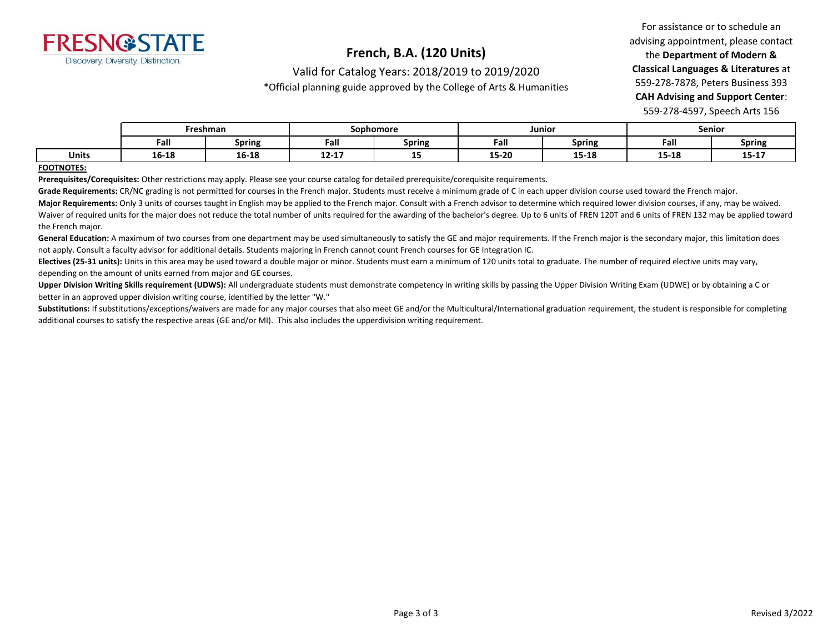

Valid for Catalog Years: 2018/2019 to 2019/2020

\*Official planning guide approved by the College of Arts & Humanities

For assistance or to schedule an advising appointment, please contact the **Department of Modern & Classical Languages & Literatures** at 559-278-7878, Peters Business 393 **CAH Advising and Support Center**: 559-278-4597, Speech Arts 156

|              | Freshman       |        | Sophomore     |               | Junior      |        | <b>Senior</b> |                      |
|--------------|----------------|--------|---------------|---------------|-------------|--------|---------------|----------------------|
|              | Fall           | Spring | -<br>Fall     | <b>Spring</b> | - -<br>Fall | Spring | Fall          | <b>Spring</b>        |
| <b>Units</b> | 1C 10<br>10-18 | 16-18  | 1917<br>12-17 | --            | 15-20       | 15-18  | 15-18         | 4.5.47<br>TJ.<br>- - |

#### **FOOTNOTES:**

**Prerequisites/Corequisites:** Other restrictions may apply. Please see your course catalog for detailed prerequisite/corequisite requirements.

Grade Requirements: CR/NC grading is not permitted for courses in the French major. Students must receive a minimum grade of C in each upper division course used toward the French major.

Major Requirements: Only 3 units of courses taught in English may be applied to the French major. Consult with a French advisor to determine which required lower division courses, if any, may be waived. Waiver of required units for the major does not reduce the total number of units required for the awarding of the bachelor's degree. Up to 6 units of FREN 120T and 6 units of FREN 132 may be applied toward the French major.

General Education: A maximum of two courses from one department may be used simultaneously to satisfy the GE and major requirements. If the French major is the secondary major, this limitation does not apply. Consult a faculty advisor for additional details. Students majoring in French cannot count French courses for GE Integration IC.

**Electives (25-31 units):** Units in this area may be used toward a double major or minor. Students must earn a minimum of 120 units total to graduate. The number of required elective units may vary, depending on the amount of units earned from major and GE courses.

Upper Division Writing Skills requirement (UDWS): All undergraduate students must demonstrate competency in writing skills by passing the Upper Division Writing Exam (UDWE) or by obtaining a C or better in an approved upper division writing course, identified by the letter "W."

Substitutions: If substitutions/exceptions/waivers are made for any major courses that also meet GE and/or the Multicultural/International graduation requirement, the student is responsible for completing additional courses to satisfy the respective areas (GE and/or MI). This also includes the upperdivision writing requirement.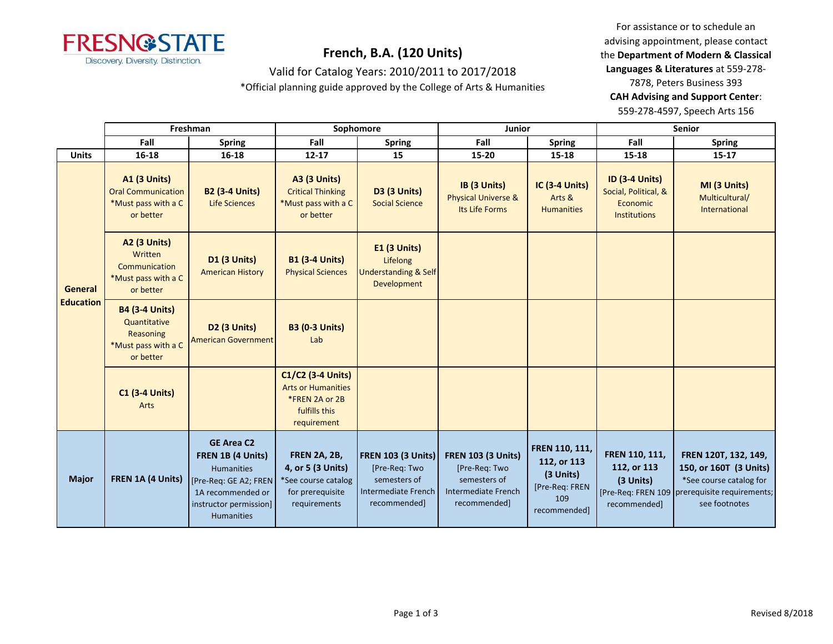

Valid for Catalog Years: 2010/2011 to 2017/2018

\*Official planning guide approved by the College of Arts & Humanities

For assistance or to schedule an advising appointment, please contact the **Department of Modern & Classical Languages & Literatures** at 559-278- 7878, Peters Business 393 **CAH Advising and Support Center**: 559-278-4597, Speech Arts 156

|                                    | Freshman                                                                               |                                                                                                                                             | Sophomore                                                                                           |                                                                                                          | <b>Junior</b>                                                                                            |                                                                                     | <b>Senior</b>                                                                    |                                                                                                                                             |
|------------------------------------|----------------------------------------------------------------------------------------|---------------------------------------------------------------------------------------------------------------------------------------------|-----------------------------------------------------------------------------------------------------|----------------------------------------------------------------------------------------------------------|----------------------------------------------------------------------------------------------------------|-------------------------------------------------------------------------------------|----------------------------------------------------------------------------------|---------------------------------------------------------------------------------------------------------------------------------------------|
|                                    | Fall                                                                                   | <b>Spring</b>                                                                                                                               | Fall                                                                                                | <b>Spring</b>                                                                                            | Fall                                                                                                     | <b>Spring</b>                                                                       | Fall                                                                             | <b>Spring</b>                                                                                                                               |
| <b>Units</b>                       | 16-18                                                                                  | 16-18                                                                                                                                       | $12 - 17$                                                                                           | 15                                                                                                       | 15-20                                                                                                    | 15-18                                                                               | $15 - 18$                                                                        | $15 - 17$                                                                                                                                   |
| <b>General</b><br><b>Education</b> | <b>A1 (3 Units)</b><br><b>Oral Communication</b><br>*Must pass with a C<br>or better   | <b>B2 (3-4 Units)</b><br><b>Life Sciences</b>                                                                                               | <b>A3 (3 Units)</b><br><b>Critical Thinking</b><br>*Must pass with a C<br>or better                 | <b>D3 (3 Units)</b><br><b>Social Science</b>                                                             | IB (3 Units)<br><b>Physical Universe &amp;</b><br>Its Life Forms                                         | <b>IC (3-4 Units)</b><br>Arts &<br><b>Humanities</b>                                | <b>ID (3-4 Units)</b><br>Social, Political, &<br>Economic<br><b>Institutions</b> | MI (3 Units)<br>Multicultural/<br>International                                                                                             |
|                                    | A2 (3 Units)<br>Written<br>Communication<br>*Must pass with a C<br>or better           | D1 (3 Units)<br><b>American History</b>                                                                                                     | <b>B1 (3-4 Units)</b><br><b>Physical Sciences</b>                                                   | <b>E1 (3 Units)</b><br>Lifelong<br><b>Understanding &amp; Self</b><br>Development                        |                                                                                                          |                                                                                     |                                                                                  |                                                                                                                                             |
|                                    | <b>B4 (3-4 Units)</b><br>Quantitative<br>Reasoning<br>*Must pass with a C<br>or better | D <sub>2</sub> (3 Units)<br><b>American Government</b>                                                                                      | <b>B3 (0-3 Units)</b><br>Lab                                                                        |                                                                                                          |                                                                                                          |                                                                                     |                                                                                  |                                                                                                                                             |
|                                    | <b>C1 (3-4 Units)</b><br>Arts                                                          |                                                                                                                                             | C1/C2 (3-4 Units)<br><b>Arts or Humanities</b><br>*FREN 2A or 2B<br>fulfills this<br>requirement    |                                                                                                          |                                                                                                          |                                                                                     |                                                                                  |                                                                                                                                             |
| <b>Major</b>                       | FREN 1A (4 Units)                                                                      | <b>GE Area C2</b><br>FREN 1B (4 Units)<br>Humanities<br>[Pre-Reg: GE A2; FREN]<br>1A recommended or<br>instructor permission]<br>Humanities | <b>FREN 2A, 2B,</b><br>4, or 5 (3 Units)<br>*See course catalog<br>for prerequisite<br>requirements | <b>FREN 103 (3 Units)</b><br>[Pre-Req: Two<br>semesters of<br><b>Intermediate French</b><br>recommended] | <b>FREN 103 (3 Units)</b><br>[Pre-Req: Two<br>semesters of<br><b>Intermediate French</b><br>recommended] | FREN 110, 111,<br>112, or 113<br>(3 Units)<br>[Pre-Req: FREN<br>109<br>recommended] | FREN 110, 111,<br>112, or 113<br>(3 Units)<br>recommended]                       | FREN 120T, 132, 149,<br>150, or 160T (3 Units)<br>*See course catalog for<br>[Pre-Req: FREN 109 prerequisite requirements;<br>see footnotes |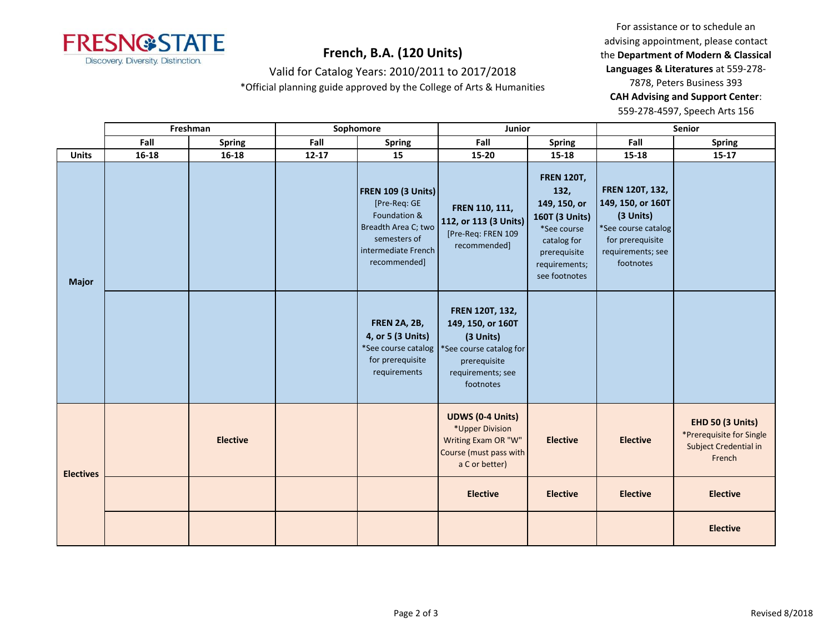

For assistance or to schedule an advising appointment, please contact the **Department of Modern & Classical Languages & Literatures** at 559-278- 7878, Peters Business 393 **CAH Advising and Support Center**: 559-278-4597, Speech Arts 156

| Valid for Catalog Years: 2010/2011 to 2017/2018 |  |
|-------------------------------------------------|--|
|-------------------------------------------------|--|

\*Official planning guide approved by the College of Arts & Humanities

|                  | Freshman              |                 | Sophomore |                                                                                                                                         | Junior                                                                                                                         |                                                                                                                                             | Senior                                                                                                                                |                                                                                        |
|------------------|-----------------------|-----------------|-----------|-----------------------------------------------------------------------------------------------------------------------------------------|--------------------------------------------------------------------------------------------------------------------------------|---------------------------------------------------------------------------------------------------------------------------------------------|---------------------------------------------------------------------------------------------------------------------------------------|----------------------------------------------------------------------------------------|
|                  | Fall<br><b>Spring</b> |                 | Fall      | <b>Spring</b>                                                                                                                           | Fall                                                                                                                           | <b>Spring</b>                                                                                                                               | Fall                                                                                                                                  | <b>Spring</b>                                                                          |
| <b>Units</b>     | $16 - 18$             | $16 - 18$       | $12 - 17$ | 15                                                                                                                                      | 15-20                                                                                                                          | 15-18                                                                                                                                       | 15-18                                                                                                                                 | $15 - 17$                                                                              |
| <b>Major</b>     |                       |                 |           | <b>FREN 109 (3 Units)</b><br>[Pre-Req: GE<br>Foundation &<br>Breadth Area C; two<br>semesters of<br>intermediate French<br>recommended] | FREN 110, 111,<br>112, or 113 (3 Units)<br>[Pre-Req: FREN 109<br>recommended]                                                  | <b>FREN 120T,</b><br>132,<br>149, 150, or<br>160T (3 Units)<br>*See course<br>catalog for<br>prerequisite<br>requirements;<br>see footnotes | <b>FREN 120T, 132,</b><br>149, 150, or 160T<br>(3 Units)<br>*See course catalog<br>for prerequisite<br>requirements; see<br>footnotes |                                                                                        |
|                  |                       |                 |           | <b>FREN 2A, 2B,</b><br>4, or 5 (3 Units)<br>*See course catalog<br>for prerequisite<br>requirements                                     | FREN 120T, 132,<br>149, 150, or 160T<br>(3 Units)<br>*See course catalog for<br>prerequisite<br>requirements; see<br>footnotes |                                                                                                                                             |                                                                                                                                       |                                                                                        |
| <b>Electives</b> |                       | <b>Elective</b> |           |                                                                                                                                         | <b>UDWS (0-4 Units)</b><br>*Upper Division<br>Writing Exam OR "W"<br>Course (must pass with<br>a C or better)                  | <b>Elective</b>                                                                                                                             | <b>Elective</b>                                                                                                                       | <b>EHD 50 (3 Units)</b><br>*Prerequisite for Single<br>Subject Credential in<br>French |
|                  |                       |                 |           |                                                                                                                                         | <b>Elective</b>                                                                                                                | <b>Elective</b>                                                                                                                             | <b>Elective</b>                                                                                                                       | <b>Elective</b>                                                                        |
|                  |                       |                 |           |                                                                                                                                         |                                                                                                                                |                                                                                                                                             |                                                                                                                                       | <b>Elective</b>                                                                        |